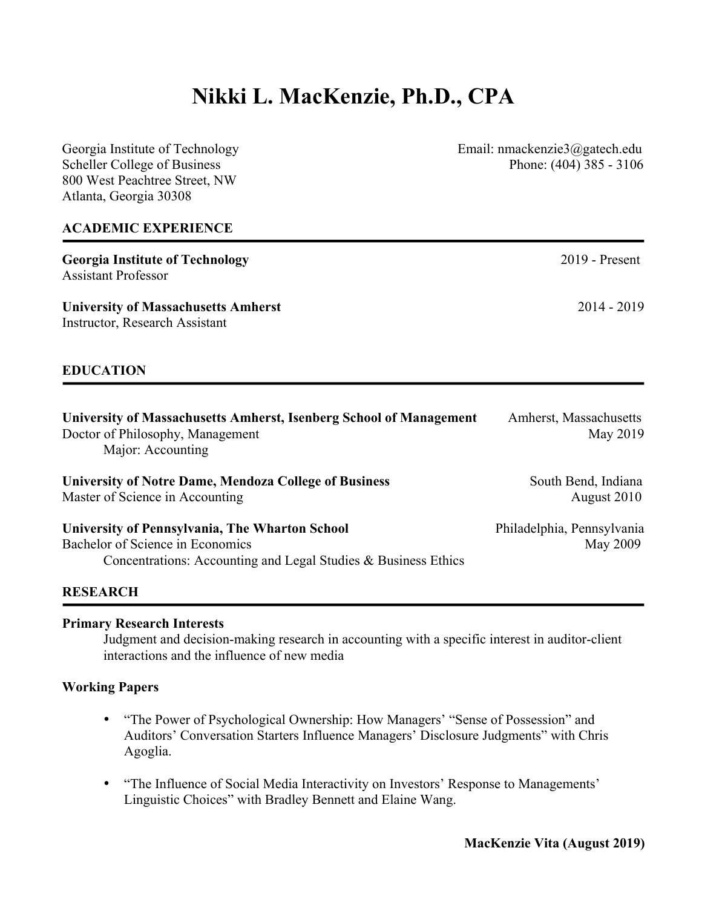# **Nikki L. MacKenzie, Ph.D., CPA**

Georgia Institute of Technology Email: nmackenzie3@gatech.edu Scheller College of Business Phone: (404) 385 - 3106 800 West Peachtree Street, NW Atlanta, Georgia 30308 **ACADEMIC EXPERIENCE Georgia Institute of Technology** 2019 - Present Assistant Professor **University of Massachusetts Amherst** 2014 - 2019 Instructor, Research Assistant **EDUCATION University of Massachusetts Amherst, Isenberg School of Management** Amherst, Massachusetts Doctor of Philosophy, Management May 2019 Major: Accounting **University of Notre Dame, Mendoza College of Business South Bend, Indiana** Master of Science in Accounting August 2010 **University of Pennsylvania, The Wharton School** Philadelphia, Pennsylvania Bachelor of Science in Economics May 2009 Concentrations: Accounting and Legal Studies & Business Ethics

#### **RESEARCH**

#### **Primary Research Interests**

Judgment and decision-making research in accounting with a specific interest in auditor-client interactions and the influence of new media

#### **Working Papers**

- "The Power of Psychological Ownership: How Managers' "Sense of Possession" and Auditors' Conversation Starters Influence Managers' Disclosure Judgments" with Chris Agoglia.
- "The Influence of Social Media Interactivity on Investors' Response to Managements' Linguistic Choices" with Bradley Bennett and Elaine Wang.

**MacKenzie Vita (August 2019)**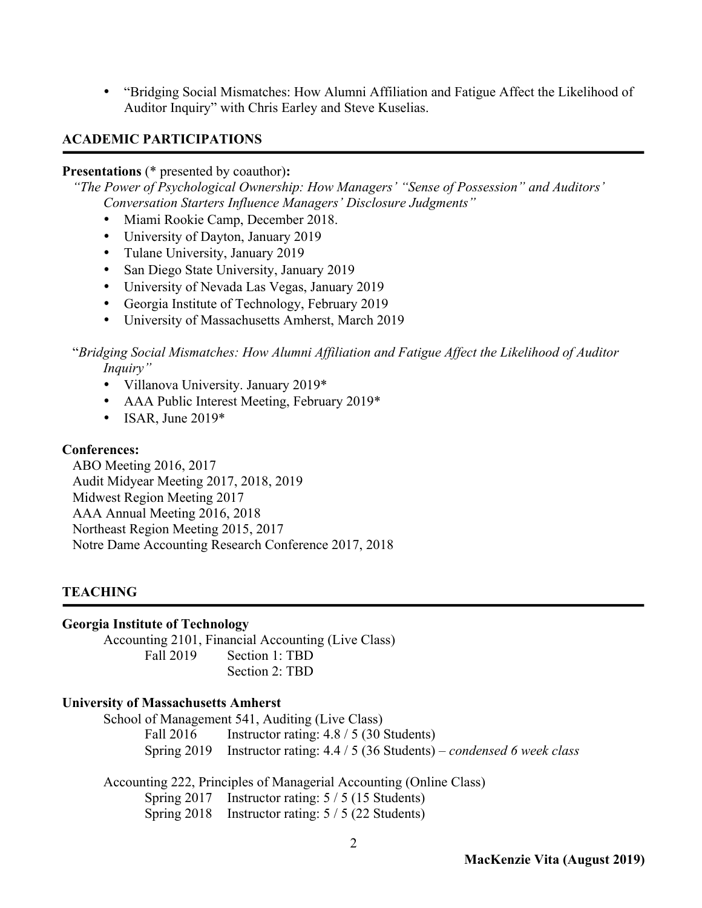• "Bridging Social Mismatches: How Alumni Affiliation and Fatigue Affect the Likelihood of Auditor Inquiry" with Chris Earley and Steve Kuselias.

## **ACADEMIC PARTICIPATIONS**

## **Presentations** (\* presented by coauthor)**:**

*"The Power of Psychological Ownership: How Managers' "Sense of Possession" and Auditors' Conversation Starters Influence Managers' Disclosure Judgments"*

- Miami Rookie Camp, December 2018.
- University of Dayton, January 2019
- Tulane University, January 2019
- San Diego State University, January 2019
- University of Nevada Las Vegas, January 2019
- Georgia Institute of Technology, February 2019
- University of Massachusetts Amherst, March 2019

## "*Bridging Social Mismatches: How Alumni Affiliation and Fatigue Affect the Likelihood of Auditor Inquiry"*

- Villanova University. January 2019\*
- AAA Public Interest Meeting, February 2019\*
- ISAR, June  $2019*$

## **Conferences:**

ABO Meeting 2016, 2017 Audit Midyear Meeting 2017, 2018, 2019 Midwest Region Meeting 2017 AAA Annual Meeting 2016, 2018 Northeast Region Meeting 2015, 2017 Notre Dame Accounting Research Conference 2017, 2018

## **TEACHING**

#### **Georgia Institute of Technology**

Accounting 2101, Financial Accounting (Live Class) Fall 2019 Section 1: TBD Section 2: TBD

#### **University of Massachusetts Amherst**

School of Management 541, Auditing (Live Class) Fall 2016 Instructor rating: 4.8 / 5 (30 Students) Spring 2019 Instructor rating: 4.4 / 5 (36 Students) *– condensed 6 week class*

Accounting 222, Principles of Managerial Accounting (Online Class) Spring 2017 Instructor rating: 5 / 5 (15 Students) Spring 2018 Instructor rating: 5 / 5 (22 Students)